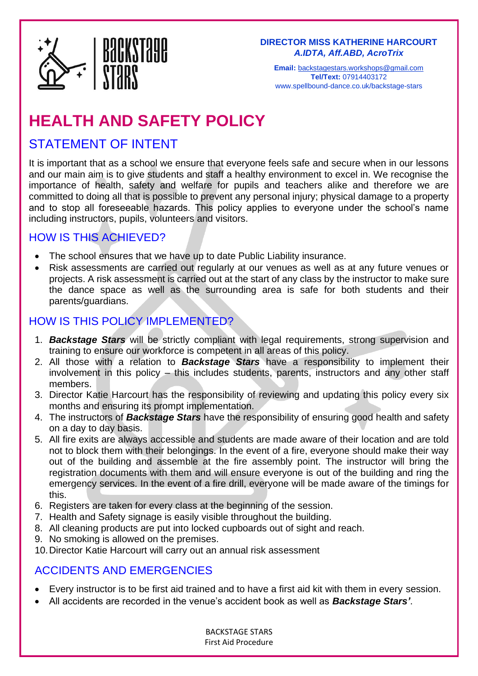

**Email:** [backstagestars.workshops@gmail.com](mailto:backstagestars.workshops@gmail.com) **Tel/Text:** 07914403172 www.spellbound-dance.co.uk/backstage-stars

# **HEALTH AND SAFETY POLICY**

## STATEMENT OF INTENT

It is important that as a school we ensure that everyone feels safe and secure when in our lessons and our main aim is to give students and staff a healthy environment to excel in. We recognise the importance of health, safety and welfare for pupils and teachers alike and therefore we are committed to doing all that is possible to prevent any personal injury; physical damage to a property and to stop all foreseeable hazards. This policy applies to everyone under the school's name including instructors, pupils, volunteers and visitors.

### HOW IS THIS ACHIEVED?

- The school ensures that we have up to date Public Liability insurance.
- Risk assessments are carried out regularly at our venues as well as at any future venues or projects. A risk assessment is carried out at the start of any class by the instructor to make sure the dance space as well as the surrounding area is safe for both students and their parents/guardians.

### HOW IS THIS POLICY IMPLEMENTED?

- 1. *Backstage Stars* will be strictly compliant with legal requirements, strong supervision and training to ensure our workforce is competent in all areas of this policy.
- 2. All those with a relation to *Backstage Stars* have a responsibility to implement their involvement in this policy – this includes students, parents, instructors and any other staff members.
- 3. Director Katie Harcourt has the responsibility of reviewing and updating this policy every six months and ensuring its prompt implementation.
- 4. The instructors of *Backstage Stars* have the responsibility of ensuring good health and safety on a day to day basis.
- 5. All fire exits are always accessible and students are made aware of their location and are told not to block them with their belongings. In the event of a fire, everyone should make their way out of the building and assemble at the fire assembly point. The instructor will bring the registration documents with them and will ensure everyone is out of the building and ring the emergency services. In the event of a fire drill, everyone will be made aware of the timings for this.
- 6. Registers are taken for every class at the beginning of the session.
- 7. Health and Safety signage is easily visible throughout the building.
- 8. All cleaning products are put into locked cupboards out of sight and reach.
- 9. No smoking is allowed on the premises.
- 10.Director Katie Harcourt will carry out an annual risk assessment

### ACCIDENTS AND EMERGENCIES

- Every instructor is to be first aid trained and to have a first aid kit with them in every session.
- All accidents are recorded in the venue's accident book as well as *Backstage Stars'*.

BACKSTAGE STARS First Aid Procedure